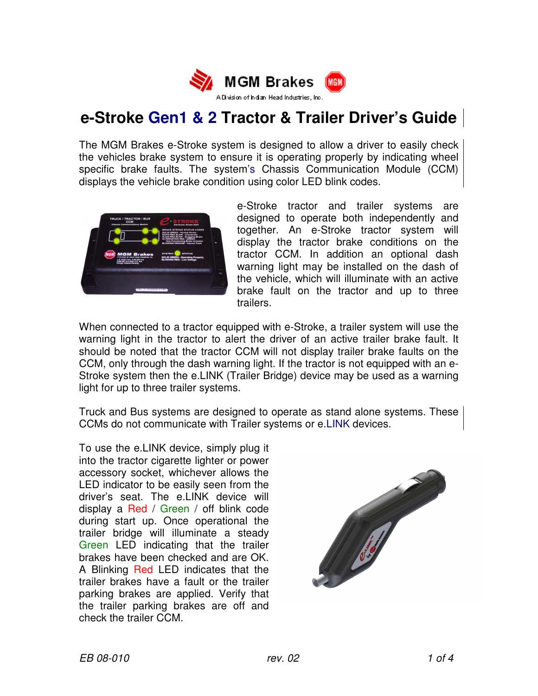

# **e-Stroke Gen1 & 2 Tractor & Trailer Driver's Guide**

The MGM Brakes e-Stroke system is designed to allow a driver to easily check the vehicles brake system to ensure it is operating properly by indicating wheel specific brake faults. The system's Chassis Communication Module (CCM) displays the vehicle brake condition using color LED blink codes.



e-Stroke tractor and trailer systems are designed to operate both independently and together. An e-Stroke tractor system will display the tractor brake conditions on the tractor CCM. In addition an optional dash warning light may be installed on the dash of the vehicle, which will illuminate with an active brake fault on the tractor and up to three trailers.

When connected to a tractor equipped with e-Stroke, a trailer system will use the warning light in the tractor to alert the driver of an active trailer brake fault. It should be noted that the tractor CCM will not display trailer brake faults on the CCM, only through the dash warning light. If the tractor is not equipped with an e-Stroke system then the e.LINK (Trailer Bridge) device may be used as a warning light for up to three trailer systems.

Truck and Bus systems are designed to operate as stand alone systems. These CCMs do not communicate with Trailer systems or e.LINK devices.

To use the e.LINK device, simply plug it into the tractor cigarette lighter or power accessory socket, whichever allows the LED indicator to be easily seen from the driver's seat. The e.LINK device will display a Red / Green / off blink code during start up. Once operational the trailer bridge will illuminate a steady Green LED indicating that the trailer brakes have been checked and are OK. A Blinking Red LED indicates that the trailer brakes have a fault or the trailer parking brakes are applied. Verify that the trailer parking brakes are off and check the trailer CCM.

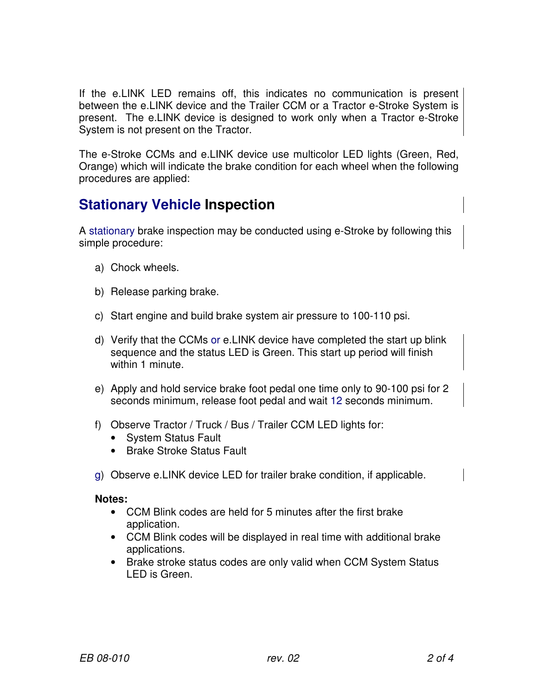If the e.LINK LED remains off, this indicates no communication is present between the e.LINK device and the Trailer CCM or a Tractor e-Stroke System is present. The e.LINK device is designed to work only when a Tractor e-Stroke System is not present on the Tractor.

The e-Stroke CCMs and e.LINK device use multicolor LED lights (Green, Red, Orange) which will indicate the brake condition for each wheel when the following procedures are applied:

## **Stationary Vehicle Inspection**

A stationary brake inspection may be conducted using e-Stroke by following this simple procedure:

- a) Chock wheels.
- b) Release parking brake.
- c) Start engine and build brake system air pressure to 100-110 psi.
- d) Verify that the CCMs or e.LINK device have completed the start up blink sequence and the status LED is Green. This start up period will finish within 1 minute.
- e) Apply and hold service brake foot pedal one time only to 90-100 psi for 2 seconds minimum, release foot pedal and wait 12 seconds minimum.
- f) Observe Tractor / Truck / Bus / Trailer CCM LED lights for:
	- System Status Fault
	- Brake Stroke Status Fault
- g) Observe e.LINK device LED for trailer brake condition, if applicable.

#### **Notes:**

- CCM Blink codes are held for 5 minutes after the first brake application.
- CCM Blink codes will be displayed in real time with additional brake applications.
- Brake stroke status codes are only valid when CCM System Status LED is Green.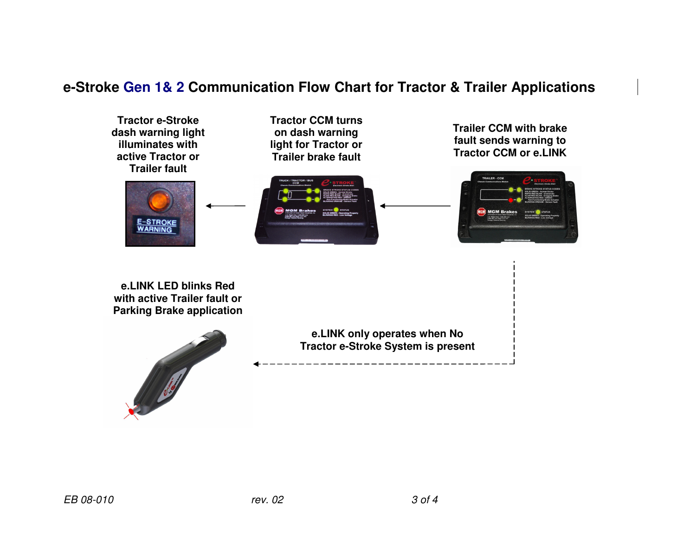### **e-Stroke Gen 1& 2 Communication Flow Chart for Tractor & Trailer Applications**